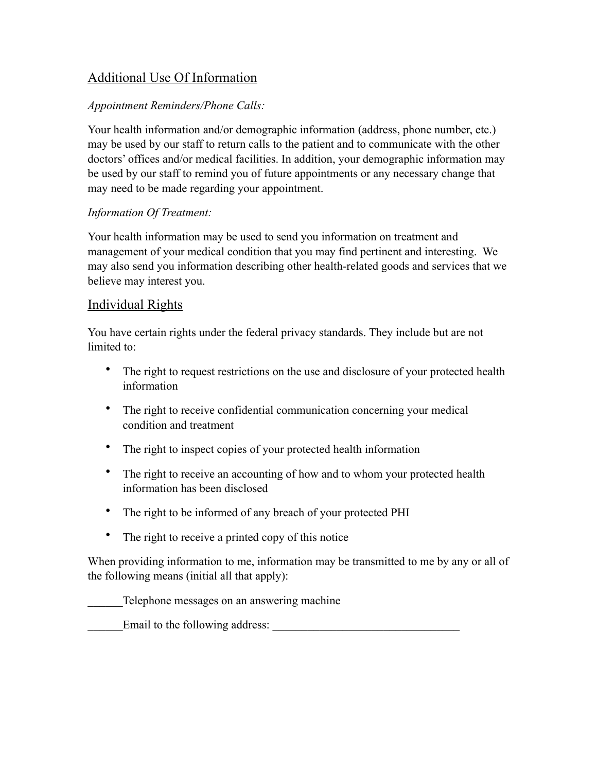## Additional Use Of Information

### *Appointment Reminders/Phone Calls:*

Your health information and/or demographic information (address, phone number, etc.) may be used by our staff to return calls to the patient and to communicate with the other doctors' offices and/or medical facilities. In addition, your demographic information may be used by our staff to remind you of future appointments or any necessary change that may need to be made regarding your appointment.

### *Information Of Treatment:*

Your health information may be used to send you information on treatment and management of your medical condition that you may find pertinent and interesting. We may also send you information describing other health-related goods and services that we believe may interest you.

## Individual Rights

You have certain rights under the federal privacy standards. They include but are not limited to:

- The right to request restrictions on the use and disclosure of your protected health information
- The right to receive confidential communication concerning your medical condition and treatment
- The right to inspect copies of your protected health information
- The right to receive an accounting of how and to whom your protected health information has been disclosed
- The right to be informed of any breach of your protected PHI
- The right to receive a printed copy of this notice

When providing information to me, information may be transmitted to me by any or all of the following means (initial all that apply):

\_\_\_\_\_\_Telephone messages on an answering machine

Email to the following address: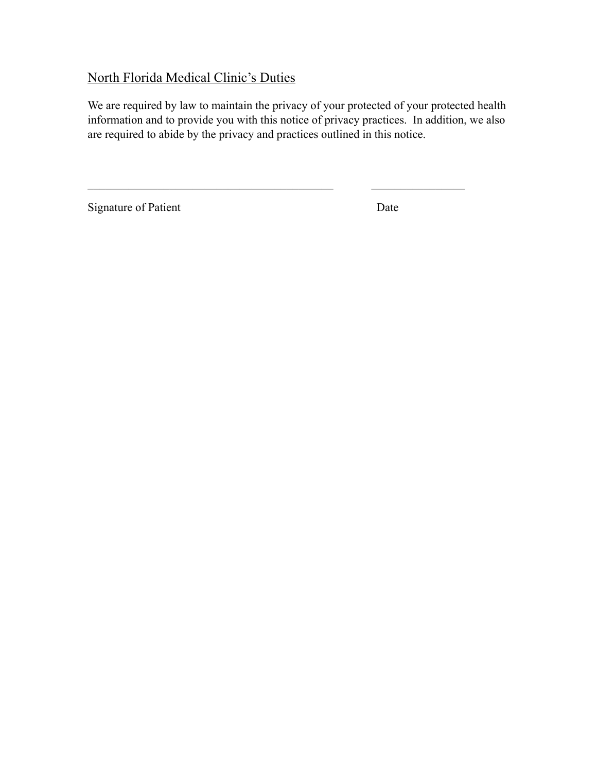# North Florida Medical Clinic's Duties

We are required by law to maintain the privacy of your protected of your protected health information and to provide you with this notice of privacy practices. In addition, we also are required to abide by the privacy and practices outlined in this notice.

 $\mathcal{L}_\text{max}$  and the contract of the contract of the contract of the contract of the contract of the contract of

Signature of Patient Date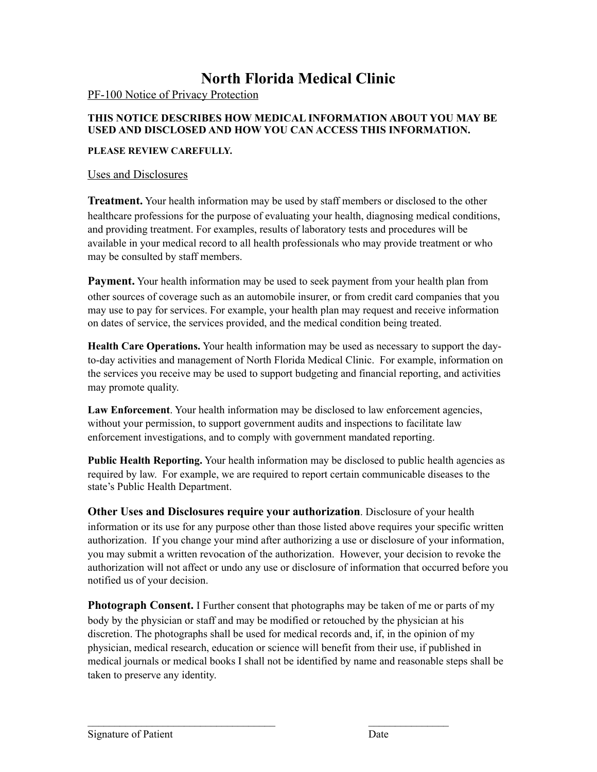# **North Florida Medical Clinic**

PF-100 Notice of Privacy Protection

#### **THIS NOTICE DESCRIBES HOW MEDICAL INFORMATION ABOUT YOU MAY BE USED AND DISCLOSED AND HOW YOU CAN ACCESS THIS INFORMATION.**

### **PLEASE REVIEW CAREFULLY.**

#### Uses and Disclosures

**Treatment.** Your health information may be used by staff members or disclosed to the other healthcare professions for the purpose of evaluating your health, diagnosing medical conditions, and providing treatment. For examples, results of laboratory tests and procedures will be available in your medical record to all health professionals who may provide treatment or who may be consulted by staff members.

**Payment.** Your health information may be used to seek payment from your health plan from other sources of coverage such as an automobile insurer, or from credit card companies that you may use to pay for services. For example, your health plan may request and receive information on dates of service, the services provided, and the medical condition being treated.

**Health Care Operations.** Your health information may be used as necessary to support the dayto-day activities and management of North Florida Medical Clinic. For example, information on the services you receive may be used to support budgeting and financial reporting, and activities may promote quality.

**Law Enforcement**. Your health information may be disclosed to law enforcement agencies, without your permission, to support government audits and inspections to facilitate law enforcement investigations, and to comply with government mandated reporting.

**Public Health Reporting.** Your health information may be disclosed to public health agencies as required by law. For example, we are required to report certain communicable diseases to the state's Public Health Department.

**Other Uses and Disclosures require your authorization**. Disclosure of your health information or its use for any purpose other than those listed above requires your specific written authorization. If you change your mind after authorizing a use or disclosure of your information, you may submit a written revocation of the authorization. However, your decision to revoke the authorization will not affect or undo any use or disclosure of information that occurred before you notified us of your decision.

**Photograph Consent.** I Further consent that photographs may be taken of me or parts of my body by the physician or staff and may be modified or retouched by the physician at his discretion. The photographs shall be used for medical records and, if, in the opinion of my physician, medical research, education or science will benefit from their use, if published in medical journals or medical books I shall not be identified by name and reasonable steps shall be taken to preserve any identity.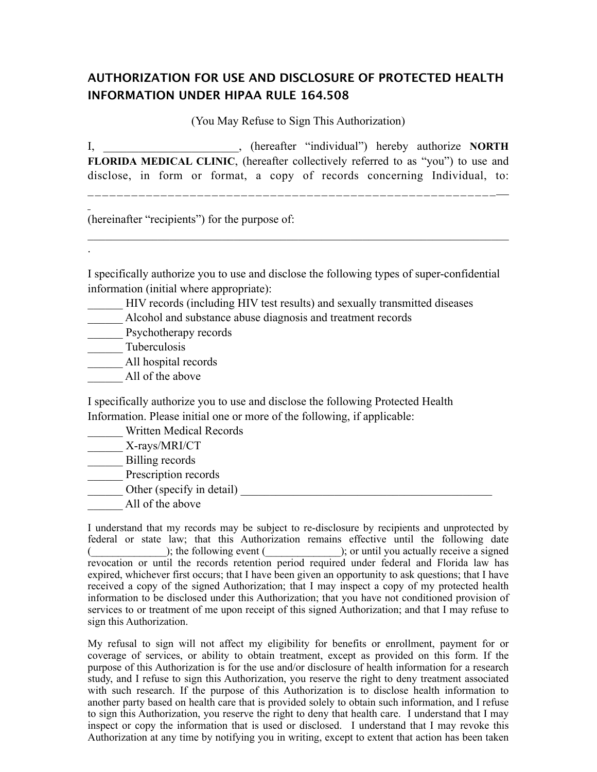## **AUTHORIZATION FOR USE AND DISCLOSURE OF PROTECTED HEALTH INFORMATION UNDER HIPAA RULE 164.508**

(You May Refuse to Sign This Authorization)

I, \_\_\_\_\_\_\_\_\_\_\_\_\_\_\_\_\_\_\_\_\_\_\_, (hereafter "individual") hereby authorize **NORTH FLORIDA MEDICAL CLINIC** (hereafter collectively referred to as "you") to use and disclose, in form or format, a copy of records concerning Individual, to: \_\_\_\_\_\_\_\_\_\_\_\_\_\_\_\_\_\_\_\_\_\_\_\_\_\_\_\_\_\_\_\_\_\_\_\_\_\_\_\_\_\_\_\_\_\_\_\_\_\_\_\_\_\_\_\_

(hereinafter "recipients") for the purpose of:

I specifically authorize you to use and disclose the following types of super-confidential information (initial where appropriate):

- \_\_\_\_\_\_ HIV records (including HIV test results) and sexually transmitted diseases
- Alcohol and substance abuse diagnosis and treatment records
- \_\_\_\_\_\_ Psychotherapy records
- Tuberculosis
- \_\_\_\_\_\_ All hospital records
- All of the above

I specifically authorize you to use and disclose the following Protected Health Information. Please initial one or more of the following, if applicable:

- \_\_\_\_\_\_ Written Medical Records
- \_\_\_\_\_\_\_ X-rays/MRI/CT
- Billing records
- Prescription records
- Uther (specify in detail)
- $\overline{\phantom{a}}$  All of the above

I understand that my records may be subject to re-disclosure by recipients and unprotected by federal or state law; that this Authorization remains effective until the following date (  $\qquad \qquad$ ); the following event (  $\qquad \qquad$ ); or until you actually receive a signed revocation or until the records retention period required under federal and Florida law has expired, whichever first occurs; that I have been given an opportunity to ask questions; that I have received a copy of the signed Authorization; that I may inspect a copy of my protected health information to be disclosed under this Authorization; that you have not conditioned provision of services to or treatment of me upon receipt of this signed Authorization; and that I may refuse to sign this Authorization.

My refusal to sign will not affect my eligibility for benefits or enrollment, payment for or coverage of services, or ability to obtain treatment, except as provided on this form. If the purpose of this Authorization is for the use and/or disclosure of health information for a research study, and I refuse to sign this Authorization, you reserve the right to deny treatment associated with such research. If the purpose of this Authorization is to disclose health information to another party based on health care that is provided solely to obtain such information, and I refuse to sign this Authorization, you reserve the right to deny that health care. I understand that I may inspect or copy the information that is used or disclosed. I understand that I may revoke this Authorization at any time by notifying you in writing, except to extent that action has been taken